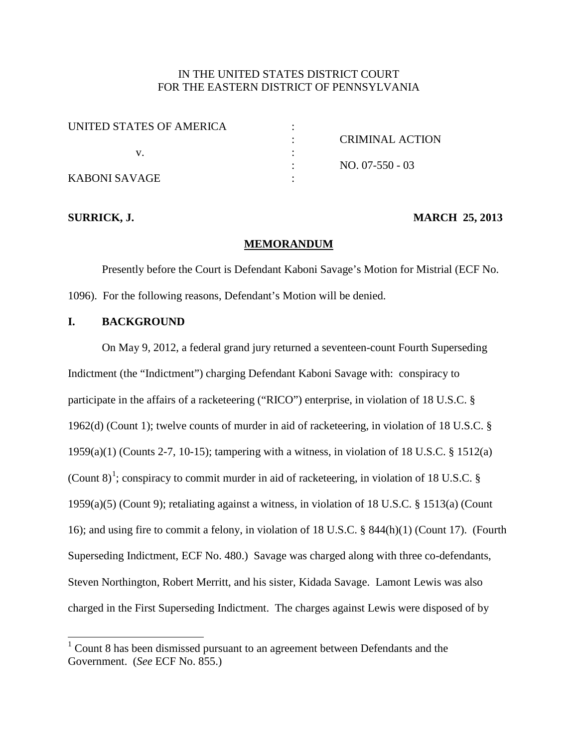## IN THE UNITED STATES DISTRICT COURT FOR THE EASTERN DISTRICT OF PENNSYLVANIA

| UNITED STATES OF AMERICA |                 |
|--------------------------|-----------------|
|                          | CRIMINAL ACTION |
|                          |                 |
|                          | $NO. 07-550-03$ |
| KABONI SAVAGE            |                 |

#### **SURRICK, J. MARCH 25, 2013**

#### **MEMORANDUM**

Presently before the Court is Defendant Kaboni Savage's Motion for Mistrial (ECF No. 1096). For the following reasons, Defendant's Motion will be denied.

### **I. BACKGROUND**

On May 9, 2012, a federal grand jury returned a seventeen-count Fourth Superseding Indictment (the "Indictment") charging Defendant Kaboni Savage with: conspiracy to participate in the affairs of a racketeering ("RICO") enterprise, in violation of 18 U.S.C. § 1962(d) (Count 1); twelve counts of murder in aid of racketeering, in violation of 18 U.S.C. § 1959(a)(1) (Counts 2-7, 10-15); tampering with a witness, in violation of 18 U.S.C. § 1512(a) (Count 8)<sup>[1](#page-0-0)</sup>; conspiracy to commit murder in aid of racketeering, in violation of 18 U.S.C. § 1959(a)(5) (Count 9); retaliating against a witness, in violation of 18 U.S.C. § 1513(a) (Count 16); and using fire to commit a felony, in violation of 18 U.S.C. § 844(h)(1) (Count 17). (Fourth Superseding Indictment, ECF No. 480.) Savage was charged along with three co-defendants, Steven Northington, Robert Merritt, and his sister, Kidada Savage. Lamont Lewis was also charged in the First Superseding Indictment. The charges against Lewis were disposed of by

<span id="page-0-0"></span> $1$  Count 8 has been dismissed pursuant to an agreement between Defendants and the Government. (*See* ECF No. 855.)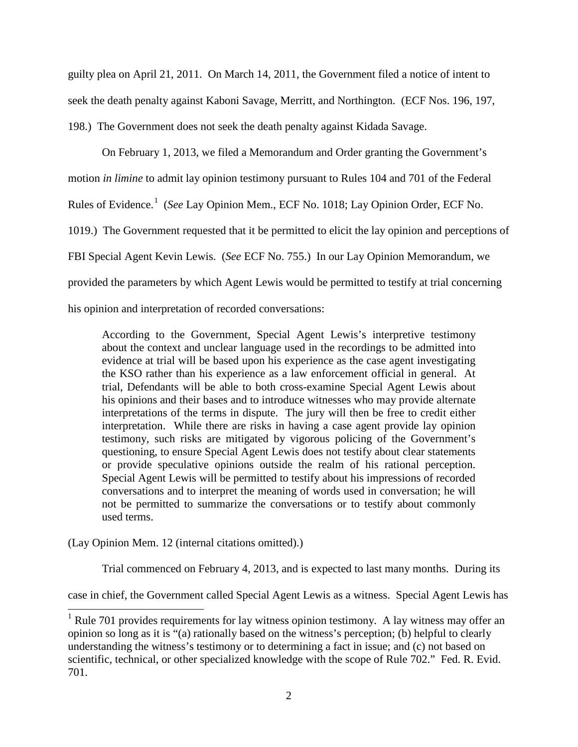guilty plea on April 21, 2011. On March 14, 2011, the Government filed a notice of intent to seek the death penalty against Kaboni Savage, Merritt, and Northington. (ECF Nos. 196, 197, 198.) The Government does not seek the death penalty against Kidada Savage.

On February 1, 2013, we filed a Memorandum and Order granting the Government's motion *in limine* to admit lay opinion testimony pursuant to Rules 104 and 701 of the Federal Rules of Evidence. [1](#page-1-0) (*See* Lay Opinion Mem., ECF No. 1018; Lay Opinion Order, ECF No. 1019.) The Government requested that it be permitted to elicit the lay opinion and perceptions of FBI Special Agent Kevin Lewis. (*See* ECF No. 755.) In our Lay Opinion Memorandum, we provided the parameters by which Agent Lewis would be permitted to testify at trial concerning his opinion and interpretation of recorded conversations:

According to the Government, Special Agent Lewis's interpretive testimony about the context and unclear language used in the recordings to be admitted into evidence at trial will be based upon his experience as the case agent investigating the KSO rather than his experience as a law enforcement official in general. At trial, Defendants will be able to both cross-examine Special Agent Lewis about his opinions and their bases and to introduce witnesses who may provide alternate interpretations of the terms in dispute. The jury will then be free to credit either interpretation. While there are risks in having a case agent provide lay opinion testimony, such risks are mitigated by vigorous policing of the Government's questioning, to ensure Special Agent Lewis does not testify about clear statements or provide speculative opinions outside the realm of his rational perception. Special Agent Lewis will be permitted to testify about his impressions of recorded conversations and to interpret the meaning of words used in conversation; he will not be permitted to summarize the conversations or to testify about commonly used terms.

(Lay Opinion Mem. 12 (internal citations omitted).)

Trial commenced on February 4, 2013, and is expected to last many months. During its

case in chief, the Government called Special Agent Lewis as a witness. Special Agent Lewis has

<span id="page-1-0"></span> $1$  Rule 701 provides requirements for lay witness opinion testimony. A lay witness may offer an opinion so long as it is "(a) rationally based on the witness's perception; (b) helpful to clearly understanding the witness's testimony or to determining a fact in issue; and (c) not based on scientific, technical, or other specialized knowledge with the scope of Rule 702." Fed. R. Evid. 701.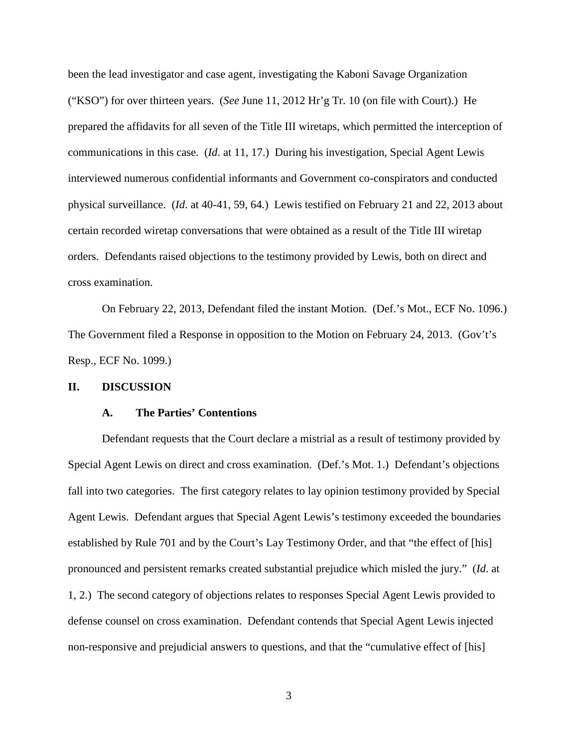been the lead investigator and case agent, investigating the Kaboni Savage Organization ("KSO") for over thirteen years. (*See* June 11, 2012 Hr'g Tr. 10 (on file with Court).) He prepared the affidavits for all seven of the Title III wiretaps, which permitted the interception of communications in this case. (*Id*. at 11, 17.) During his investigation, Special Agent Lewis interviewed numerous confidential informants and Government co-conspirators and conducted physical surveillance. (*Id*. at 40-41, 59, 64.) Lewis testified on February 21 and 22, 2013 about certain recorded wiretap conversations that were obtained as a result of the Title III wiretap orders. Defendants raised objections to the testimony provided by Lewis, both on direct and cross examination.

On February 22, 2013, Defendant filed the instant Motion. (Def.'s Mot., ECF No. 1096.) The Government filed a Response in opposition to the Motion on February 24, 2013. (Gov't's Resp., ECF No. 1099.)

#### **II. DISCUSSION**

#### **A. The Parties' Contentions**

Defendant requests that the Court declare a mistrial as a result of testimony provided by Special Agent Lewis on direct and cross examination. (Def.'s Mot. 1.) Defendant's objections fall into two categories. The first category relates to lay opinion testimony provided by Special Agent Lewis. Defendant argues that Special Agent Lewis's testimony exceeded the boundaries established by Rule 701 and by the Court's Lay Testimony Order, and that "the effect of [his] pronounced and persistent remarks created substantial prejudice which misled the jury." (*Id*. at 1, 2.) The second category of objections relates to responses Special Agent Lewis provided to defense counsel on cross examination. Defendant contends that Special Agent Lewis injected non-responsive and prejudicial answers to questions, and that the "cumulative effect of [his]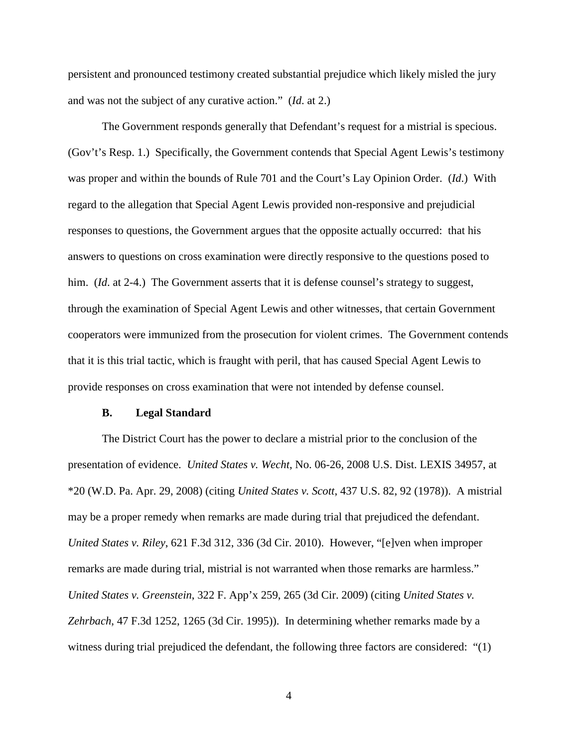persistent and pronounced testimony created substantial prejudice which likely misled the jury and was not the subject of any curative action." (*Id*. at 2.)

The Government responds generally that Defendant's request for a mistrial is specious. (Gov't's Resp. 1.) Specifically, the Government contends that Special Agent Lewis's testimony was proper and within the bounds of Rule 701 and the Court's Lay Opinion Order. (*Id*.) With regard to the allegation that Special Agent Lewis provided non-responsive and prejudicial responses to questions, the Government argues that the opposite actually occurred: that his answers to questions on cross examination were directly responsive to the questions posed to him. *(Id.* at 2-4.) The Government asserts that it is defense counsel's strategy to suggest, through the examination of Special Agent Lewis and other witnesses, that certain Government cooperators were immunized from the prosecution for violent crimes. The Government contends that it is this trial tactic, which is fraught with peril, that has caused Special Agent Lewis to provide responses on cross examination that were not intended by defense counsel.

#### **B. Legal Standard**

The District Court has the power to declare a mistrial prior to the conclusion of the presentation of evidence. *United States v. Wecht*, No. 06-26, 2008 U.S. Dist. LEXIS 34957, at \*20 (W.D. Pa. Apr. 29, 2008) (citing *United States v. Scott*, 437 U.S. 82, 92 (1978)). A mistrial may be a proper remedy when remarks are made during trial that prejudiced the defendant. *United States v. Riley*, 621 F.3d 312, 336 (3d Cir. 2010). However, "[e]ven when improper remarks are made during trial, mistrial is not warranted when those remarks are harmless." *United States v. Greenstein*, 322 F. App'x 259, 265 (3d Cir. 2009) (citing *United States v. Zehrbach*, 47 F.3d 1252, 1265 (3d Cir. 1995)). In determining whether remarks made by a witness during trial prejudiced the defendant, the following three factors are considered: "(1)

4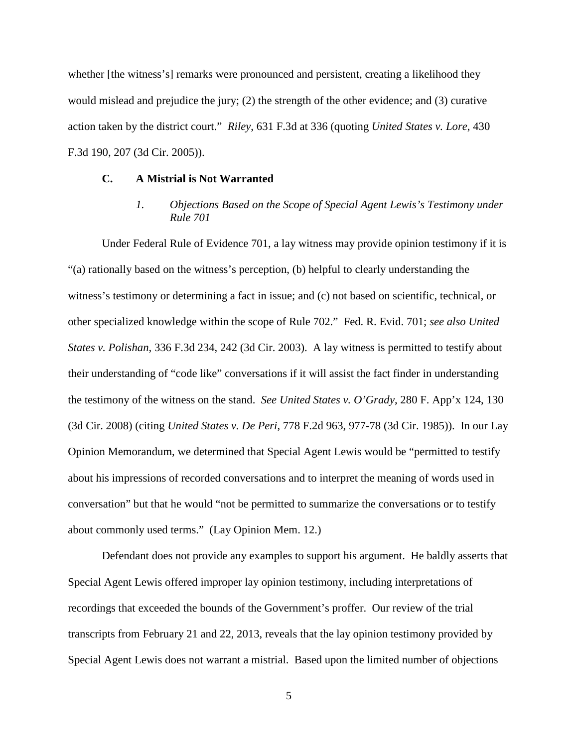whether [the witness's] remarks were pronounced and persistent, creating a likelihood they would mislead and prejudice the jury; (2) the strength of the other evidence; and (3) curative action taken by the district court." *Riley*, 631 F.3d at 336 (quoting *United States v. Lore*, 430 F.3d 190, 207 (3d Cir. 2005)).

#### **C. A Mistrial is Not Warranted**

## *1. Objections Based on the Scope of Special Agent Lewis's Testimony under Rule 701*

Under Federal Rule of Evidence 701, a lay witness may provide opinion testimony if it is "(a) rationally based on the witness's perception, (b) helpful to clearly understanding the witness's testimony or determining a fact in issue; and (c) not based on scientific, technical, or other specialized knowledge within the scope of Rule 702." Fed. R. Evid. 701; *see also United States v. Polishan*, 336 F.3d 234, 242 (3d Cir. 2003). A lay witness is permitted to testify about their understanding of "code like" conversations if it will assist the fact finder in understanding the testimony of the witness on the stand. *See United States v. O'Grady*, 280 F. App'x 124, 130 (3d Cir. 2008) (citing *United States v. De Peri*, 778 F.2d 963, 977-78 (3d Cir. 1985)). In our Lay Opinion Memorandum, we determined that Special Agent Lewis would be "permitted to testify about his impressions of recorded conversations and to interpret the meaning of words used in conversation" but that he would "not be permitted to summarize the conversations or to testify about commonly used terms." (Lay Opinion Mem. 12.)

Defendant does not provide any examples to support his argument. He baldly asserts that Special Agent Lewis offered improper lay opinion testimony, including interpretations of recordings that exceeded the bounds of the Government's proffer. Our review of the trial transcripts from February 21 and 22, 2013, reveals that the lay opinion testimony provided by Special Agent Lewis does not warrant a mistrial. Based upon the limited number of objections

5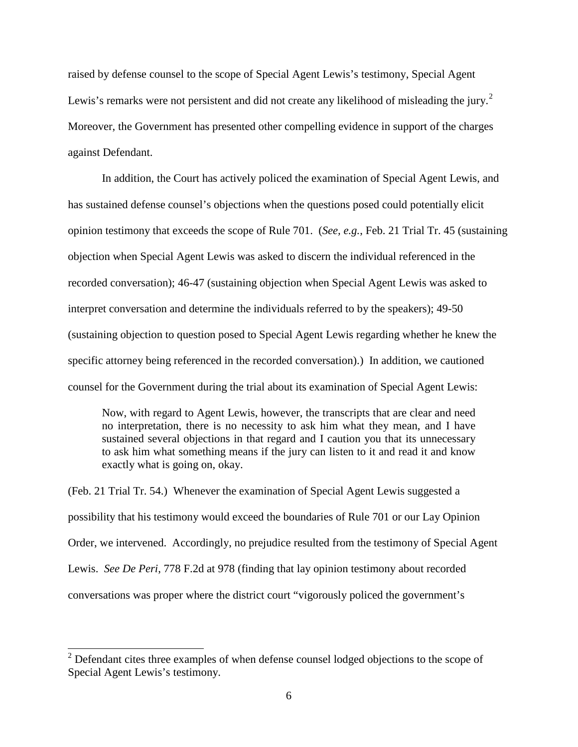raised by defense counsel to the scope of Special Agent Lewis's testimony, Special Agent Lewis's remarks were not persistent and did not create any likelihood of misleading the jury.<sup>[2](#page-5-0)</sup> Moreover, the Government has presented other compelling evidence in support of the charges against Defendant.

In addition, the Court has actively policed the examination of Special Agent Lewis, and has sustained defense counsel's objections when the questions posed could potentially elicit opinion testimony that exceeds the scope of Rule 701. (*See, e.g.*, Feb. 21 Trial Tr. 45 (sustaining objection when Special Agent Lewis was asked to discern the individual referenced in the recorded conversation); 46-47 (sustaining objection when Special Agent Lewis was asked to interpret conversation and determine the individuals referred to by the speakers); 49-50 (sustaining objection to question posed to Special Agent Lewis regarding whether he knew the specific attorney being referenced in the recorded conversation).) In addition, we cautioned counsel for the Government during the trial about its examination of Special Agent Lewis:

Now, with regard to Agent Lewis, however, the transcripts that are clear and need no interpretation, there is no necessity to ask him what they mean, and I have sustained several objections in that regard and I caution you that its unnecessary to ask him what something means if the jury can listen to it and read it and know exactly what is going on, okay.

(Feb. 21 Trial Tr. 54.) Whenever the examination of Special Agent Lewis suggested a possibility that his testimony would exceed the boundaries of Rule 701 or our Lay Opinion Order, we intervened. Accordingly, no prejudice resulted from the testimony of Special Agent Lewis. *See De Peri*, 778 F.2d at 978 (finding that lay opinion testimony about recorded conversations was proper where the district court "vigorously policed the government's

<span id="page-5-0"></span><sup>&</sup>lt;sup>2</sup> Defendant cites three examples of when defense counsel lodged objections to the scope of Special Agent Lewis's testimony.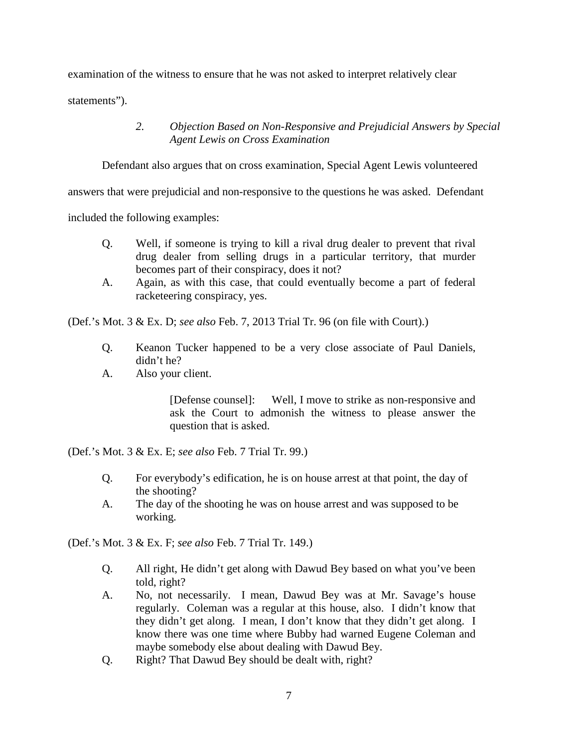examination of the witness to ensure that he was not asked to interpret relatively clear

statements").

## *2. Objection Based on Non-Responsive and Prejudicial Answers by Special Agent Lewis on Cross Examination*

Defendant also argues that on cross examination, Special Agent Lewis volunteered

answers that were prejudicial and non-responsive to the questions he was asked. Defendant

included the following examples:

- Q. Well, if someone is trying to kill a rival drug dealer to prevent that rival drug dealer from selling drugs in a particular territory, that murder becomes part of their conspiracy, does it not?
- A. Again, as with this case, that could eventually become a part of federal racketeering conspiracy, yes.

(Def.'s Mot. 3 & Ex. D; *see also* Feb. 7, 2013 Trial Tr. 96 (on file with Court).)

- Q. Keanon Tucker happened to be a very close associate of Paul Daniels, didn't he?
- A. Also your client.

[Defense counsel]: Well, I move to strike as non-responsive and ask the Court to admonish the witness to please answer the question that is asked.

(Def.'s Mot. 3 & Ex. E; *see also* Feb. 7 Trial Tr. 99.)

- Q. For everybody's edification, he is on house arrest at that point, the day of the shooting?
- A. The day of the shooting he was on house arrest and was supposed to be working.

(Def.'s Mot. 3 & Ex. F; *see also* Feb. 7 Trial Tr. 149.)

- Q. All right, He didn't get along with Dawud Bey based on what you've been told, right?
- A. No, not necessarily. I mean, Dawud Bey was at Mr. Savage's house regularly. Coleman was a regular at this house, also. I didn't know that they didn't get along. I mean, I don't know that they didn't get along. I know there was one time where Bubby had warned Eugene Coleman and maybe somebody else about dealing with Dawud Bey.
- Q. Right? That Dawud Bey should be dealt with, right?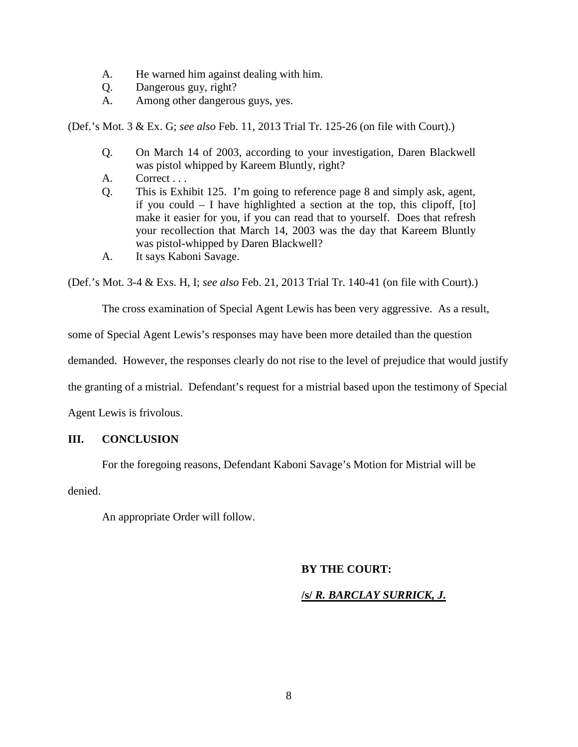- A. He warned him against dealing with him.
- Q. Dangerous guy, right?
- A. Among other dangerous guys, yes.

(Def.'s Mot. 3 & Ex. G; *see also* Feb. 11, 2013 Trial Tr. 125-26 (on file with Court).)

- Q. On March 14 of 2003, according to your investigation, Daren Blackwell was pistol whipped by Kareem Bluntly, right?
- A. Correct...
- Q. This is Exhibit 125. I'm going to reference page 8 and simply ask, agent, if you could – I have highlighted a section at the top, this clipoff, [to] make it easier for you, if you can read that to yourself. Does that refresh your recollection that March 14, 2003 was the day that Kareem Bluntly was pistol-whipped by Daren Blackwell?
- A. It says Kaboni Savage.

(Def.'s Mot. 3-4 & Exs. H, I; *see also* Feb. 21, 2013 Trial Tr. 140-41 (on file with Court).)

The cross examination of Special Agent Lewis has been very aggressive. As a result,

some of Special Agent Lewis's responses may have been more detailed than the question

demanded. However, the responses clearly do not rise to the level of prejudice that would justify

the granting of a mistrial. Defendant's request for a mistrial based upon the testimony of Special

Agent Lewis is frivolous.

### **III. CONCLUSION**

For the foregoing reasons, Defendant Kaboni Savage's Motion for Mistrial will be

denied.

An appropriate Order will follow.

### **BY THE COURT:**

### **/s/** *R. BARCLAY SURRICK, J.*